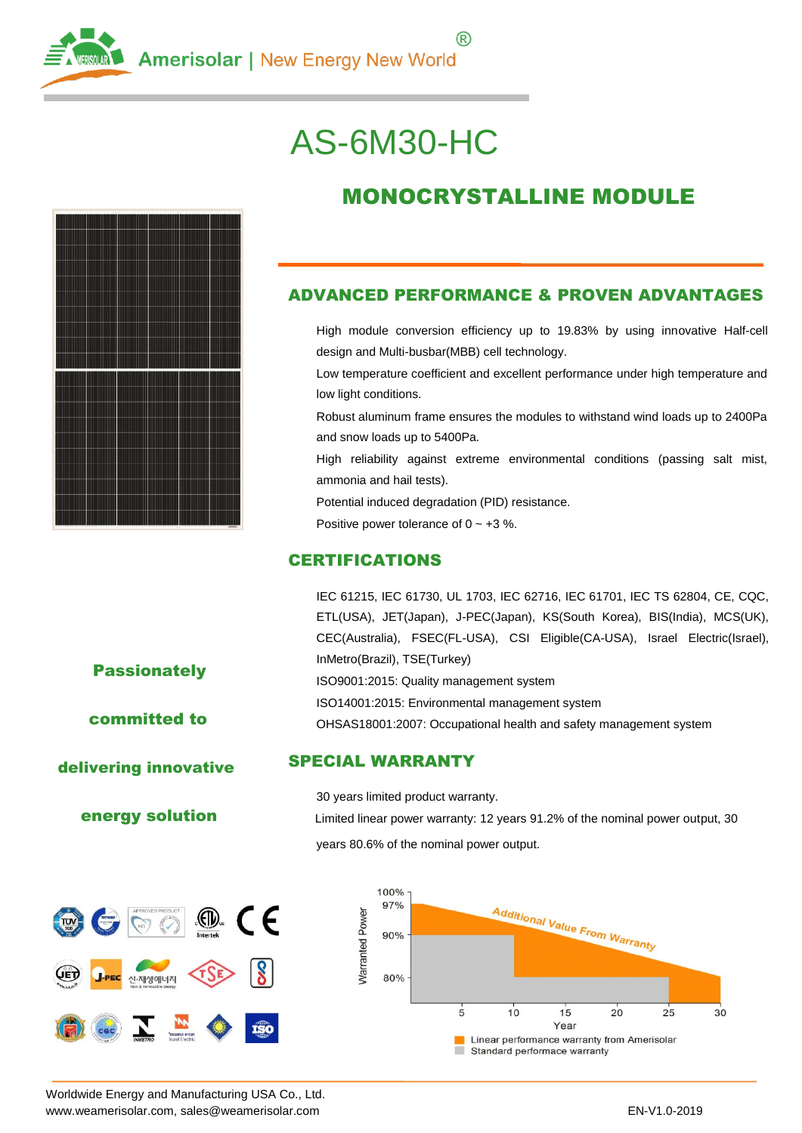

# AS-6M30-HC



## MONOCRYSTALLINE MODULE

#### ADVANCED PERFORMANCE & PROVEN ADVANTAGES

High module conversion efficiency up to 19.83% by using innovative Half-cell design and Multi-busbar(MBB) cell technology.

Low temperature coefficient and excellent performance under high temperature and low light conditions.

Robust aluminum frame ensures the modules to withstand wind loads up to 2400Pa and snow loads up to 5400Pa.

High reliability against extreme environmental conditions (passing salt mist, ammonia and hail tests).

Potential induced degradation (PID) resistance.

Positive power tolerance of  $0 \sim +3$  %.

#### **CERTIFICATIONS**

IEC 61215, IEC 61730, UL 1703, IEC 62716, IEC 61701, IEC TS 62804, CE, CQC, ETL(USA), JET(Japan), J-PEC(Japan), KS(South Korea), BIS(India), MCS(UK), CEC(Australia), FSEC(FL-USA), CSI Eligible(CA-USA), Israel Electric(Israel), InMetro(Brazil), TSE(Turkey) ISO9001:2015: Quality management system ISO14001:2015: Environmental management system OHSAS18001:2007: Occupational health and safety management system

**Passionately** 

committed to

delivering innovative

#### energy solution



SPECIAL WARRANTY

30 years limited product warranty.

Limited linear power warranty: 12 years 91.2% of the nominal power output, 30 years 80.6% of the nominal power output.



Worldwide Energy and Manufacturing USA Co., Ltd. [www.weamerisolar.com, s](http://www.weamerisolar.com/)ales@weamerisolar.com entitled as a state of the entitled and the EN-V1.0-2019